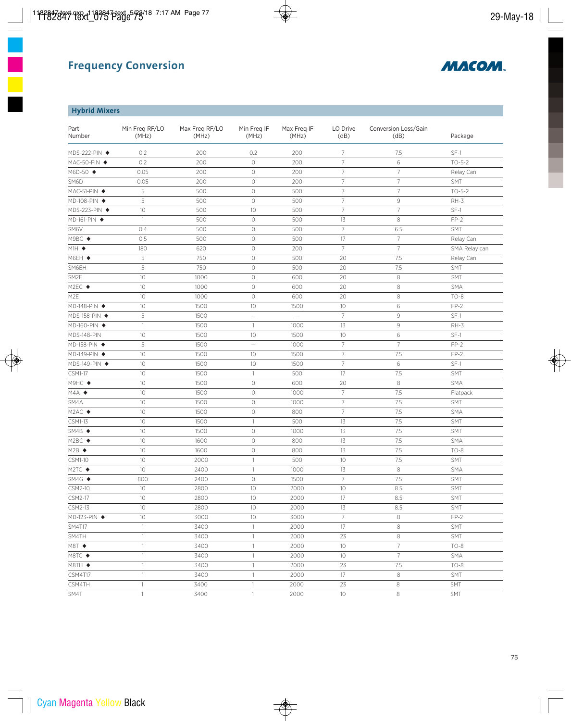

## **Hybrid Mixers**

| Part<br>Number                    | Min Freq RF/LO<br>(MHz)  | Max Freq RF/LO<br>(MHz) | Min Freg IF<br>(MHz) | Max Freg IF<br>(MHz) | LO Drive<br>(dB) | Conversion Loss/Gain<br>(dB) | Package       |
|-----------------------------------|--------------------------|-------------------------|----------------------|----------------------|------------------|------------------------------|---------------|
| MDS-222-PIN ◆                     | 0.2                      | 200                     | 0.2                  | 200                  | $7\overline{ }$  | 7.5                          | $SF-1$        |
| MAC-50-PIN ◆                      | 0.2                      | 200                     | $\circ$              | 200                  | $\overline{7}$   | 6                            | $TO - 5 - 2$  |
| M6D-50 ◆                          | 0.05                     | 200                     | $\bigcirc$           | 200                  | $\overline{7}$   | $\overline{7}$               | Relay Can     |
| SM6D                              | 0.05                     | 200                     | $\circ$              | 200                  | $\overline{7}$   | $7\overline{ }$              | SMT           |
| MAC-51-PIN ◆                      | 5                        | 500                     | $\circ$              | 500                  | $\overline{7}$   | $\overline{7}$               | $TO - 5 - 2$  |
| MD-108-PIN ◆                      | 5                        | 500                     | $\circ$              | 500                  | $\overline{7}$   | $\mathcal{G}$                | $RH-3$        |
| MDS-223-PIN ◆                     | 10                       | 500                     | 10                   | 500                  | $7\overline{ }$  | $\overline{7}$               | $SF-1$        |
| MD-161-PIN ◆                      | $\mathbf{1}$             | 500                     | $\circlearrowright$  | 500                  | 13               | 8                            | $FP-2$        |
| SM6V                              | 0.4                      | 500                     | $\circ$              | 500                  | $7\overline{ }$  | 6.5                          | SMT           |
| M9BC ◆                            | 0.5                      | 500                     | $\circ$              | 500                  | 17               | $\overline{7}$               | Relay Can     |
| $M1H$ $\blacklozenge$             | 180                      | 620                     | $\circ$              | 200                  | $\overline{7}$   | $7\overline{ }$              | SMA Relay can |
| M6EH ◆                            | 5                        | 750                     | $\circ$              | 500                  | 20               | 7.5                          | Relay Can     |
| SM6EH                             | 5                        | 750                     | $\circ$              | 500                  | 20               | 7.5                          | SMT           |
| SM2E                              | 10                       | 1000                    | $\bigcirc$           | 600                  | 20               | $\,8\,$                      | SMT           |
| M2EC ◆                            | 10                       | 1000                    | $\bigcirc$           | 600                  | 20               | $\,8\,$                      | <b>SMA</b>    |
| M <sub>2E</sub>                   | 10                       | 1000                    | $\bigcirc$           | 600                  | 20               | $\,8\,$                      | $TO-8$        |
| MD-148-PIN ◆                      | 10                       | 1500                    | 10                   | 1500                 | 10               | 6                            | $FP-2$        |
| MDS-158-PIN ◆                     | 5                        | 1500                    | $\equiv$             | $\equiv$             | $\overline{7}$   | $\,9$                        | $SF-1$        |
| MD-160-PIN ◆                      | $\mathbf{1}$             | 1500                    | $\mathbf{1}$         | 1000                 | 13               | $\,9$                        | $RH-3$        |
| MDS-148-PIN                       | 10                       | 1500                    | 10                   | 1500                 | 10               | 6                            | $SF-1$        |
| MD-158-PIN ◆                      | 5                        | 1500                    | $\equiv$             | 1000                 | $\overline{7}$   | $7\overline{ }$              | $FP-2$        |
| MD-149-PIN ◆                      | 10                       | 1500                    | 10                   | 1500                 | $\overline{7}$   | 7.5                          | $FP-2$        |
| MDS-149-PIN ◆                     | 10                       | 1500                    | 10                   | 1500                 | $7\overline{ }$  | 6                            | $SF-1$        |
| $CSM1-17$                         | 10                       | 1500                    | $\mathbf{1}$         | 500                  | 17               | 7.5                          | SMT           |
| M9HC ◆                            | 10                       | 1500                    | $\circ$              | 600                  | 20               | 8                            | <b>SMA</b>    |
| $MAA$ $\triangle$                 | 10                       | 1500                    | $\circ$              | 1000                 | 7                | 7.5                          | Flatpack      |
| SM4A                              | 10                       | 1500                    | $\circ$              | 1000                 | $\overline{7}$   | 7.5                          | SMT           |
| $M2AC$ $\blacklozenge$            | 10                       | 1500                    | $\bigcirc$           | 800                  | $\overline{7}$   | 7.5                          | <b>SMA</b>    |
| CSM1-13                           | 10                       | 1500                    | 1                    | 500                  | 13               | 7.5                          | SMT           |
| $S\overline{M4B}$ $\blacklozenge$ | 10                       | 1500                    | $\circ$              | 1000                 | 13               | 7.5                          | SMT           |
| M2BC                              | 10                       | 1600                    | $\circ$              | 800                  | 13               | 7.5                          | <b>SMA</b>    |
| $M2B$ $\triangleleft$             | 10                       | 1600                    | $\circ$              | 800                  | 13               | 7.5                          | $TO-8$        |
| CSM1-10                           | 10                       | 2000                    | $\mathbf{1}$         | 500                  | 10               | 7.5                          | SMT           |
| M2TC ◆                            | 10                       | 2400                    | $\mathbf{1}$         | 1000                 | 13               | 8                            | <b>SMA</b>    |
| $SM4G$ $\blacklozenge$            | 800                      | 2400                    | $\circ$              | 1500                 | $7\overline{ }$  | 7.5                          | <b>SMT</b>    |
| CSM2-10                           | 10                       | 2800                    | 10                   | 2000                 | 10               | 8.5                          | SMT           |
| CSM2-17                           | 10                       | 2800                    | 10                   | 2000                 | 17               | 8.5                          | SMT           |
| CSM2-13                           | 10                       | 2800                    | 10                   | 2000                 | 13               | 8.5                          | SMT           |
| $MD-123-PIN$ $\blacklozenge$      | 10                       | 3000                    | 10                   | 3000                 | $\overline{7}$   | $\,8\,$                      | $FP-2$        |
| <b>SM4T17</b>                     | $\overline{\phantom{a}}$ | 3400                    | 1                    | 2000                 | 17               | $\,8\,$                      | SMT           |
| SM4TH                             | $\mathbf{1}$             | 3400                    | 1                    | 2000                 | 23               | 8                            | <b>SMT</b>    |
| M8T ◆                             | $\mathbf{1}$             | 3400                    | $\mathbf{1}$         | 2000                 | 10               | 7                            | $TO-8$        |
| M8TC ◆                            | $\mathbf{1}$             | 3400                    | $\mathbf{1}$         | 2000                 | 10               | $7\overline{ }$              | <b>SMA</b>    |
| M8TH ◆                            | $\mathbf{1}$             | 3400                    | 1                    | 2000                 | 23               | 7.5                          | $TO-8$        |
| <b>CSM4T17</b>                    | $\mathbb{1}$             | 3400                    | $\mathbf{1}$         | 2000                 | 17               | $\,8\,$                      | SMT           |
| CSM4TH                            | $\mathbf{1}$             | 3400                    | $\mathbf{1}$         | 2000                 | 23               | 8                            | <b>SMT</b>    |
| SM4T                              | $\mathbf{1}$             | 3400                    | $\mathbf{1}$         | 2000                 | 10               | 8                            | SMT           |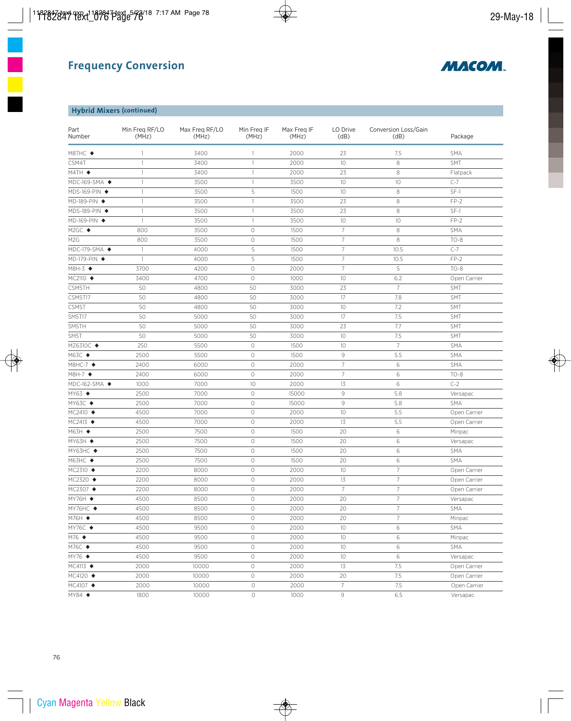

## **Hybrid Mixers (continued)**

| Part<br>Number           | Min Freg RF/LO<br>(MHz) | Max Freg RF/LO<br>(MHz) | Min Freg IF<br>(MHz) | Max Freg IF<br>(MHz) | LO Drive<br>(dB) | Conversion Loss/Gain<br>(dB) | Package      |
|--------------------------|-------------------------|-------------------------|----------------------|----------------------|------------------|------------------------------|--------------|
| M8THC ◆                  | 1                       | 3400                    | 1                    | 2000                 | 23               | 7.5                          | <b>SMA</b>   |
| CSM4T                    | $\mathbf{1}$            | 3400                    | 1                    | 2000                 | 10               | 8                            | SMT          |
| $M4TH$ $\blacklozenge$   | 1                       | 3400                    | 1                    | 2000                 | 23               | 8                            | Flatpack     |
| MDC-169-SMA ◆            | 1                       | 3500                    | 1                    | 3500                 | 10               | 10                           | $C-7$        |
| MDS-169-PIN ◆            | $\mathbf{1}$            | 3500                    | 5                    | 1500                 | 10               | 8                            | $SF-1$       |
| MD-189-PIN ◆             | 1                       | 3500                    | $\mathbf{1}$         | 3500                 | 23               | 8                            | $FP-2$       |
| MDS-189-PIN ◆            | 1                       | 3500                    | 1                    | 3500                 | 23               | 8                            | $SF-1$       |
| MD-169-PIN ◆             | $\mathbf{1}$            | 3500                    | $\mathbf{1}$         | 3500                 | 10               | 10                           | $FP-2$       |
| M2GC ◆                   | 800                     | 3500                    | $\circ$              | 1500                 | $\overline{7}$   | 8                            | <b>SMA</b>   |
| M <sub>2</sub> G         | 800                     | 3500                    | $\circlearrowright$  | 1500                 | $\overline{7}$   | 8                            | $TO-8$       |
| MDC-179-SMA ◆            | $\mathbf{1}$            | 4000                    | 5                    | 1500                 | $7\overline{ }$  | 10.5                         | $C-7$        |
| MD-179-PIN ◆             | $\mathbf{1}$            | 4000                    | 5                    | 1500                 | $7\overline{ }$  | 10.5                         | $FP-2$       |
| M8H-3 ◆                  | 3700                    | 4200                    | $\circ$              | 2000                 | $\overline{7}$   | 5                            | $TO-8$       |
| MC2110 ◆                 | 3400                    | 4700                    | $\circlearrowright$  | 1000                 | 10               | 6.2                          | Open Carrier |
| CSM5TH                   | 50                      | 4800                    | 50                   | 3000                 | 23               | $7\overline{ }$              | <b>SMT</b>   |
| <b>CSM5T17</b>           | 50                      | 4800                    | 50                   | 3000                 | 17               | 7.8                          | <b>SMT</b>   |
| CSM5T                    | 50                      | 4800                    | 50                   | 3000                 | 10               | 7.2                          | SMT          |
| <b>SM5T17</b>            | 50                      | 5000                    | 50                   | 3000                 | 17               | 7.5                          | SMT          |
| SM5TH                    | 50                      | 5000                    | 50                   | 3000                 | 23               | 7.7                          | <b>SMT</b>   |
| SM5T                     | 50                      | 5000                    | 50                   | 3000                 | 10               | 7.5                          | SMT          |
| MZ6310C ◆                | 250                     | 5500                    | $\circ$              | 1500                 | 10 <sup>°</sup>  | $\overline{7}$               | <b>SMA</b>   |
| M63C ◆                   | 2500                    | 5500                    | $\circlearrowright$  | 1500                 | 9                | 5.5                          | <b>SMA</b>   |
| M8HC-7 ◆                 | 2400                    | 6000                    | $\circlearrowright$  | 2000                 | $\overline{7}$   | 6                            | <b>SMA</b>   |
| M8H-7 ◆                  | 2400                    | 6000                    | $\circlearrowright$  | 2000                 | $7\overline{ }$  | 6                            | $TO-8$       |
| MDC-162-SMA ◆            | 1000                    | 7000                    | 10                   | 2000                 | 13               | 6                            | $C-2$        |
| MY63 ◆                   | 2500                    | 7000                    | $\circlearrowright$  | 15000                | $\,9$            | 5.8                          | Versapac     |
| MY63C ◆                  | 2500                    | 7000                    | $\circlearrowright$  | 15000                | $\,9$            | 5.8                          | <b>SMA</b>   |
| MC2410 ◆                 | 4500                    | 7000                    | $\circlearrowright$  | 2000                 | 10               | 5.5                          | Open Carrier |
| MC2413 ◆                 | 4500                    | 7000                    | $\circlearrowright$  | 2000                 | 13               | 5.5                          | Open Carrier |
| M63H ◆                   | 2500                    | 7500                    | $\circlearrowright$  | 1500                 | 20               | 6                            | Minpac       |
| MY63H ◆                  | 2500                    | 7500                    | $\circ$              | 1500                 | 20               | 6                            | Versapac     |
| MY63HC ◆                 | 2500                    | 7500                    | $\circ$              | 1500                 | 20               | 6                            | SMA          |
| M63HC ◆                  | 2500                    | 7500                    | $\circ$              | 1500                 | 20               | 6                            | <b>SMA</b>   |
| MC2310 ◆                 | 2200                    | 8000                    | $\circ$              | 2000                 | 10               | $\overline{7}$               | Open Carrier |
| MC2320 ◆                 | 2200                    | 8000                    | $\circ$              | 2000                 | 13               | $\overline{7}$               | Open Carrier |
| MC2307 ◆                 | 2200                    | 8000                    | $\circ$              | 2000                 | $7\overline{ }$  | $7\overline{ }$              | Open Carrier |
| $MY76H$ $\blacklozenge$  | 4500                    | 8500                    | 0                    | 2000                 | 20               | 7                            | Versapac     |
| MY76HC ◆                 | 4500                    | 8500                    | $\circlearrowright$  | 2000                 | 20               | $\overline{7}$               | SMA          |
| M76H ◆                   | 4500                    | 8500                    | $\circlearrowright$  | 2000                 | 20               | $\overline{7}$               | Minpac       |
| MY76C ◆                  | 4500                    | 9500                    | $\circlearrowright$  | 2000                 | 10               | 6                            | <b>SMA</b>   |
| M76 ◆                    | 4500                    | 9500                    | $\bigcirc$           | 2000                 | 10               | 6                            | Minpac       |
| M76C ◆                   | 4500                    | 9500                    | $\bigcirc$           | 2000                 | 10               | 6                            | SMA          |
| $MY76$ $\blacklozenge$   | 4500                    | 9500                    | $\bigcirc$           | 2000                 | 10               | 6                            | Versapac     |
| $MC4113$ $\blacklozenge$ | 2000                    | 10000                   | $\circlearrowright$  | 2000                 | 13               | 7.5                          | Open Carrier |
| MC4120 ◆                 | 2000                    | 10000                   | $\bigcirc$           | 2000                 | 20               | 7.5                          | Open Carrier |
| MC4107 ◆                 | 2000                    | 10000                   | $\circ$              | 2000                 | $\overline{7}$   | 7.5                          | Open Carrier |
| MY84 ◆                   | 1800                    | 10000                   | $\circ$              | 1000                 | $\,9$            | 6.5                          | Versapac     |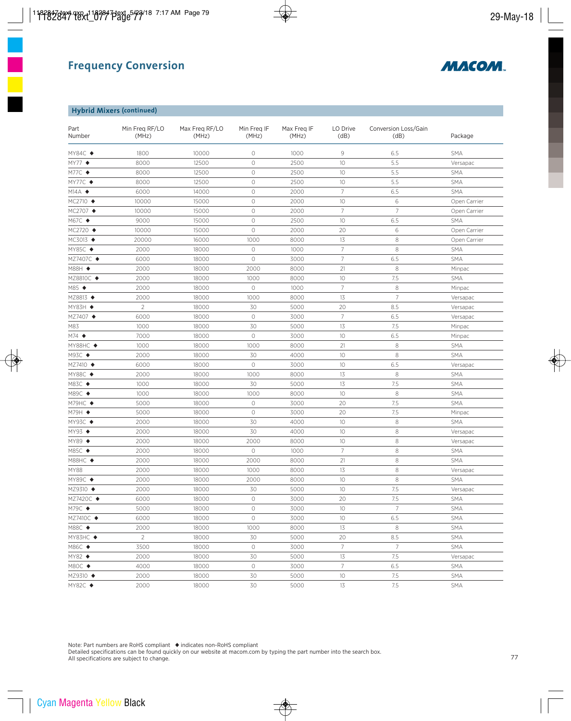

#### **Hybrid Mixers (continued)**

| Part<br>Number           | Min Freg RF/LO<br>(MHz) | Max Freg RF/LO<br>(MHz) | Min Freq IF<br>(MHz) | Max Freg IF<br>(MHz) | LO Drive<br>(dB) | Conversion Loss/Gain<br>(dB) | Package      |
|--------------------------|-------------------------|-------------------------|----------------------|----------------------|------------------|------------------------------|--------------|
| MY84C ◆                  | 1800                    | 10000                   | 0                    | 1000                 | 9                | 6.5                          | <b>SMA</b>   |
| $MY77$ $\blacklozenge$   | 8000                    | 12500                   | $\circ$              | 2500                 | 10               | 5.5                          | Versapac     |
| M77C ◆                   | 8000                    | 12500                   | $\circ$              | 2500                 | 10               | 5.5                          | SMA          |
| MY77C ◆                  | 8000                    | 12500                   | $\circ$              | 2500                 | 10               | 5.5                          | <b>SMA</b>   |
| $M14A$ $\blacklozenge$   | 6000                    | 14000                   | $\circlearrowright$  | 2000                 | $\overline{7}$   | 6.5                          | <b>SMA</b>   |
| $MC2710$ $\blacklozenge$ | 10000                   | 15000                   | $\circ$              | 2000                 | 10               | 6                            | Open Carrier |
| MC2707 ◆                 | 10000                   | 15000                   | $\circ$              | 2000                 | $\overline{7}$   | $\overline{7}$               | Open Carrier |
| M67C ◆                   | 9000                    | 15000                   | $\circ$              | 2500                 | 10               | 6.5                          | <b>SMA</b>   |
| MC2720 ◆                 | 10000                   | 15000                   | $\circ$              | 2000                 | 20               | 6                            | Open Carrier |
| MC3013 ◆                 | 20000                   | 16000                   | 1000                 | 8000                 | 13               | 8                            | Open Carrier |
| MY85C ◆                  | 2000                    | 18000                   | $\circlearrowright$  | 1000                 | $\overline{7}$   | 8                            | <b>SMA</b>   |
| MZ7407C ◆                | 6000                    | 18000                   | $\circ$              | 3000                 | $\overline{7}$   | 6.5                          | SMA          |
| M88H ◆                   | 2000                    | 18000                   | 2000                 | 8000                 | 21               | 8                            | Minpac       |
| MZ8810C ◆                | 2000                    | 18000                   | 1000                 | 8000                 | 10 <sup>°</sup>  | 7.5                          | <b>SMA</b>   |
| M85 ◆                    | 2000                    | 18000                   | $\circ$              | 1000                 | $\overline{7}$   | 8                            | Minpac       |
| MZ8813 ◆                 | 2000                    | 18000                   | 1000                 | 8000                 | 13               | $\overline{7}$               | Versapac     |
| MY83H ◆                  | $\overline{2}$          | 18000                   | 30                   | 5000                 | 20               | 8.5                          | Versapac     |
| MZ7407 ◆                 | 6000                    | 18000                   | $\circlearrowright$  | 3000                 | $\overline{7}$   | 6.5                          | Versapac     |
| M83                      | 1000                    | 18000                   | 30                   | 5000                 | 13               | 7.5                          | Minpac       |
| $M74$ $\blacklozenge$    | 7000                    | 18000                   | $\circ$              | 3000                 | 10               | 6.5                          | Minpac       |
| MY88HC ◆                 | 1000                    | 18000                   | 1000                 | 8000                 | 21               | 8                            | <b>SMA</b>   |
| M93C ◆                   | 2000                    | 18000                   | 30                   | 4000                 | 10               | 8                            | <b>SMA</b>   |
| MZ7410 ◆                 | 6000                    | 18000                   | $\circ$              | 3000                 | 10               | 6.5                          | Versapac     |
| MY88C ◆                  | 2000                    | 18000                   | 1000                 | 8000                 | 13               | 8                            | SMA          |
| M83C ◆                   | 1000                    | 18000                   | 30                   | 5000                 | 13               | 7.5                          | <b>SMA</b>   |
| M89C ◆                   | 1000                    | 18000                   | 1000                 | 8000                 | 10               | 8                            | <b>SMA</b>   |
| M79HC $\blacklozenge$    | 5000                    | 18000                   | $\circ$              | 3000                 | 20               | 7.5                          | <b>SMA</b>   |
| M79H ◆                   | 5000                    | 18000                   | $\circ$              | 3000                 | 20               | 7.5                          | Minpac       |
| MY93C ◆                  | 2000                    | 18000                   | 30                   | 4000                 | 10               | $\,8\,$                      | <b>SMA</b>   |
| $MY93$ $\blacklozenge$   | 2000                    | 18000                   | 30                   | 4000                 | 10               | 8                            | Versapac     |
| $MY89$ $\blacklozenge$   | 2000                    | 18000                   | 2000                 | 8000                 | 10               | 8                            | Versapac     |
| M85C ◆                   | 2000                    | 18000                   | $\circ$              | 1000                 | $\overline{7}$   | 8                            | <b>SMA</b>   |
| M88HC ◆                  | 2000                    | 18000                   | 2000                 | 8000                 | 21               | 8                            | <b>SMA</b>   |
| <b>MY88</b>              | 2000                    | 18000                   | 1000                 | 8000                 | 13               | $\,8\,$                      | Versapac     |
| MY89C ◆                  | 2000                    | 18000                   | 2000                 | 8000                 | 10               | 8                            | <b>SMA</b>   |
| MZ9310 ◆                 | 2000                    | 18000                   | 30                   | 5000                 | 10               | 7.5                          | Versapac     |
| MZ7420C ◆                | 6000                    | 18000                   | 0                    | 3000                 | 20               | 7.5                          | SMA          |
| M79C ◆                   | 5000                    | 18000                   | $\circ$              | 3000                 | 10               | $\overline{7}$               | SMA          |
| MZ7410C ◆                | 6000                    | 18000                   | $\circ$              | 3000                 | 10               | 6.5                          | SMA          |
| M88C ◆                   | 2000                    | 18000                   | 1000                 | 8000                 | 13               | 8                            | <b>SMA</b>   |
| MY83HC ◆                 | $\overline{2}$          | 18000                   | 30                   | 5000                 | 20               | 8.5                          | SMA          |
| M86C ◆                   | 3500                    | 18000                   | $\circ$              | 3000                 | $\overline{7}$   | $\overline{7}$               | SMA          |
| $MY82$ $\blacklozenge$   | 2000                    | 18000                   | 30                   | 5000                 | 13               | 7.5                          | Versapac     |
| M80C ◆                   | 4000                    | 18000                   | $\circ$              | 3000                 | $\overline{7}$   | 6.5                          | SMA          |
| MZ9310 ◆                 | 2000                    | 18000                   | 30                   | 5000                 | 10               | 7.5                          | <b>SMA</b>   |
| MY82C ◆                  | 2000                    | 18000                   | 30                   | 5000                 | $13\,$           | 7.5                          | SMA          |
|                          |                         |                         |                      |                      |                  |                              |              |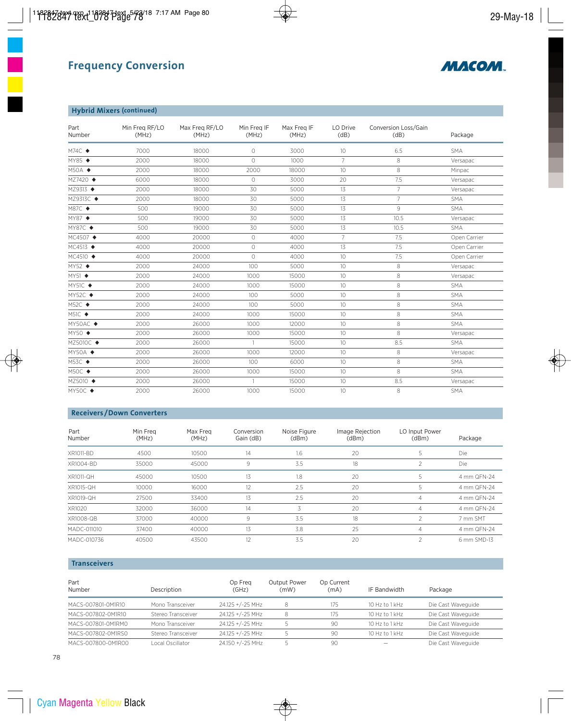

## **Hybrid Mixers (continued)**

| Part<br>Number          | Min Freg RF/LO<br>(MHz) | Max Freq RF/LO<br>(MHz) | Min Freg IF<br>(MHz) | Max Freq IF<br>(MHz) | LO Drive<br>(dB) | Conversion Loss/Gain<br>(dB) | Package      |
|-------------------------|-------------------------|-------------------------|----------------------|----------------------|------------------|------------------------------|--------------|
| $M74C$ $\triangleleft$  | 7000                    | 18000                   | $\circ$              | 3000                 | 10 <sup>°</sup>  | 6.5                          | <b>SMA</b>   |
| MY85 ◆                  | 2000                    | 18000                   | $\Omega$             | 1000                 | $\overline{7}$   | 8                            | Versapac     |
| $M50A$ $\blacklozenge$  | 2000                    | 18000                   | 2000                 | 18000                | 10 <sup>°</sup>  | 8                            | Minpac       |
| MZ7420 ◆                | 6000                    | 18000                   | $\Omega$             | 3000                 | 20               | 7.5                          | Versapac     |
| MZ9313 ◆                | 2000                    | 18000                   | 30                   | 5000                 | 13               | $\overline{7}$               | Versapac     |
| MZ9313C ◆               | 2000                    | 18000                   | 30                   | 5000                 | 13               | $\overline{7}$               | <b>SMA</b>   |
| M87C ◆                  | 500                     | 19000                   | 30                   | 5000                 | 13               | 9                            | <b>SMA</b>   |
| MY87 ♦                  | 500                     | 19000                   | 30                   | 5000                 | 13               | 10.5                         | Versapac     |
| MY87C ◆                 | 500                     | 19000                   | 30                   | 5000                 | 13               | 10.5                         | <b>SMA</b>   |
| MC4507 ♦                | 4000                    | 20000                   | $\circ$              | 4000                 | $\overline{7}$   | 7.5                          | Open Carrier |
| MC4513 ◆                | 4000                    | 20000                   | $\circ$              | 4000                 | 13               | 7.5                          | Open Carrier |
| MC4510 ◆                | 4000                    | 20000                   | $\Omega$             | 4000                 | 10 <sup>°</sup>  | 7.5                          | Open Carrier |
| $MY52$ $\blacklozenge$  | 2000                    | 24000                   | 100                  | 5000                 | 10 <sup>°</sup>  | 8                            | Versapac     |
| MY51 ◆                  | 2000                    | 24000                   | 1000                 | 15000                | 10               | 8                            | Versapac     |
| MY51C ◆                 | 2000                    | 24000                   | 1000                 | 15000                | 10 <sup>°</sup>  | 8                            | <b>SMA</b>   |
| MY52C $\triangleleft$   | 2000                    | 24000                   | 100                  | 5000                 | 10 <sup>°</sup>  | 8                            | <b>SMA</b>   |
| $M52C$ $\blacklozenge$  | 2000                    | 24000                   | 100                  | 5000                 | 10               | 8                            | <b>SMA</b>   |
| $M51C \rightarrow$      | 2000                    | 24000                   | 1000                 | 15000                | 10 <sup>°</sup>  | 8                            | <b>SMA</b>   |
| MY50AC ◆                | 2000                    | 26000                   | 1000                 | 12000                | 10 <sup>°</sup>  | 8                            | <b>SMA</b>   |
| $MY50 \rightarrow$      | 2000                    | 26000                   | 1000                 | 15000                | 10 <sup>°</sup>  | 8                            | Versapac     |
| MZ5010C ◆               | 2000                    | 26000                   | $\mathbf{1}$         | 15000                | 10               | 8.5                          | <b>SMA</b>   |
| $MY50A$ $\blacklozenge$ | 2000                    | 26000                   | 1000                 | 12000                | 10 <sup>°</sup>  | 8                            | Versapac     |
| M53C ◆                  | 2000                    | 26000                   | 100                  | 6000                 | 10 <sup>°</sup>  | 8                            | <b>SMA</b>   |
| $M50C$ $\blacklozenge$  | 2000                    | 26000                   | 1000                 | 15000                | 10 <sup>°</sup>  | 8                            | <b>SMA</b>   |
| MZ5010 ◆                | 2000                    | 26000                   | $\mathbf{1}$         | 15000                | 10 <sup>°</sup>  | 8.5                          | Versapac     |
| MY50C ◆                 | 2000                    | 26000                   | 1000                 | 15000                | 10 <sup>°</sup>  | 8                            | <b>SMA</b>   |

### **Receivers /Down Converters**

| Part<br>Number   | Min Frea<br>(MHz) | Max Freg<br>(MHz) | Conversion<br>Gain (dB) | Noise Figure<br>(dBm) | Image Rejection<br>(dBm) | LO Input Power<br>(dBm)  | Package     |
|------------------|-------------------|-------------------|-------------------------|-----------------------|--------------------------|--------------------------|-------------|
| XR1011-BD        | 4500              | 10500             | 14                      | $1.6\,$               | 20                       | 5                        | Die         |
| XR1004-BD        | 35000             | 45000             | 9                       | 3.5                   | 18                       | $\overline{2}$           | <b>Die</b>  |
| <b>XR1011-QH</b> | 45000             | 10500             | 13                      | 1.8                   | 20                       | 5                        | 4 mm QFN-24 |
| XR1015-QH        | 10000             | 16000             | 12                      | 2.5                   | 20                       | 5                        | 4 mm QFN-24 |
| XR1019-QH        | 27500             | 33400             | 13                      | 2.5                   | 20                       | $\overline{4}$           | 4 mm QFN-24 |
| XR1020           | 32000             | 36000             | 14                      | 3                     | 20                       | $\overline{4}$           | 4 mm QFN-24 |
| XR1008-QB        | 37000             | 40000             | 9                       | 3.5                   | 18                       | $\overline{\phantom{a}}$ | 7 mm SMT    |
| MADC-011010      | 37400             | 40000             | 13                      | 3.8                   | 25                       | $\overline{4}$           | 4 mm QFN-24 |
| MADC-010736      | 40500             | 43500             | 12                      | 3.5                   | 20                       | ∍                        | 6 mm SMD-13 |

### **Transceivers**

| Part<br>Number     | Description        | Op Freg<br>(GHz) | <b>Output Power</b><br>(mW) | Op Current<br>(mA) | IF Bandwidth             | Package            |
|--------------------|--------------------|------------------|-----------------------------|--------------------|--------------------------|--------------------|
| MACS-007801-0M1R10 | Mono Transceiver   | 24.125 +/-25 MHz | 8                           | 175                | 10 Hz to 1 kHz           | Die Cast Waveguide |
| MACS-007802-0M1R10 | Stereo Transceiver | 24.125 +/-25 MHz |                             | 175                | 10 Hz to 1 kHz           | Die Cast Waveguide |
| MACS-007801-0M1RM0 | Mono Transceiver   | 24.125 +/-25 MHz |                             | 90                 | 10 Hz to 1 kHz           | Die Cast Waveguide |
| MACS-007802-0M1RS0 | Stereo Transceiver | 24.125 +/-25 MHz |                             | 90                 | 10 Hz to 1 kHz           | Die Cast Waveguide |
| MACS-007800-0M1R00 | Local Oscillator   | 24.150 +/-25 MHz |                             | 90                 | $\overline{\phantom{0}}$ | Die Cast Waveguide |